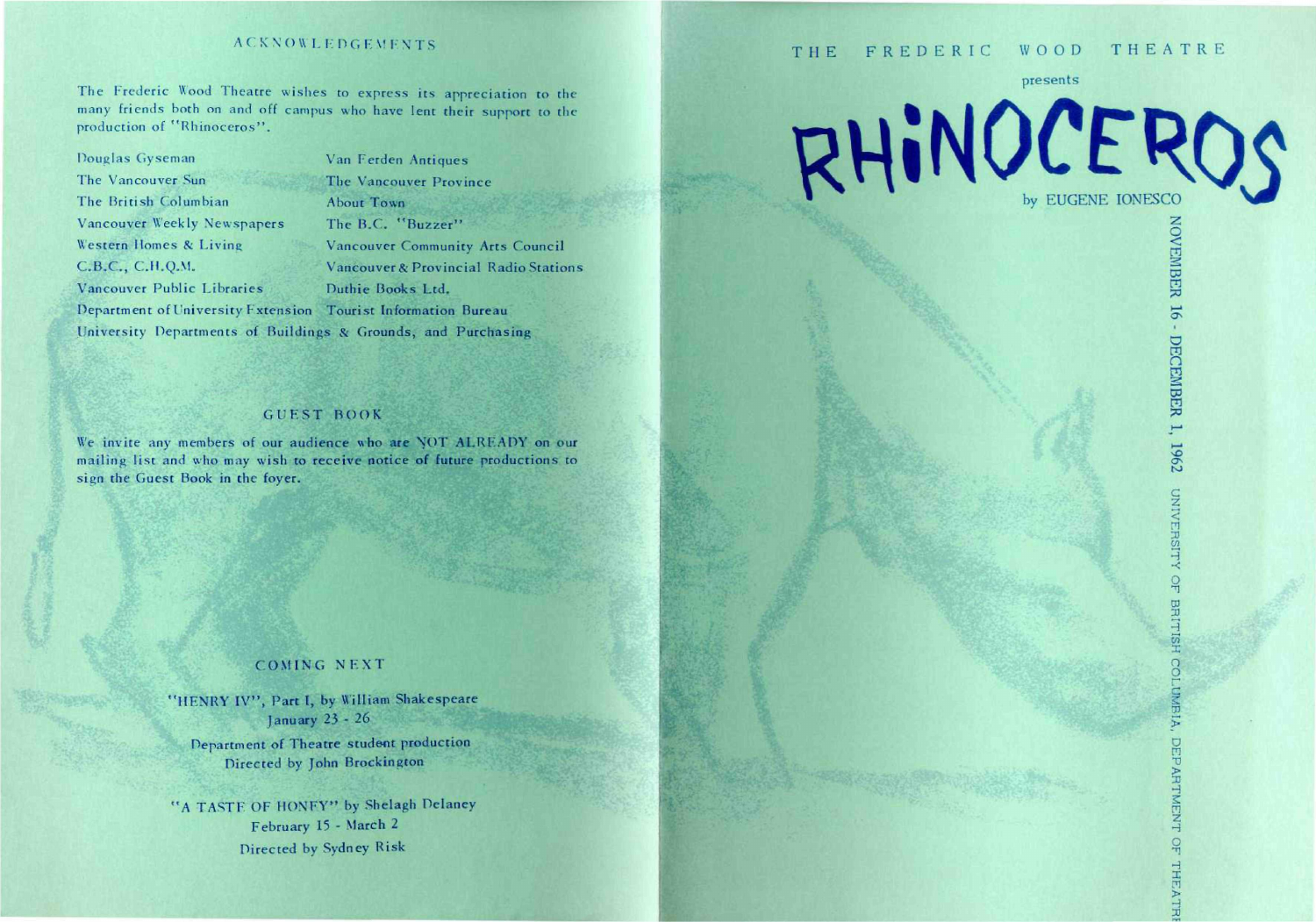## **ACKNOWLEDGEMENTS**

The Frederic Wood Theatre wishes to express its appreciation to the many friends both on and off campus who have lent their support to the production of "Rhinoceros".

Douglas Gyseman The Vancouver Sun

CB.C , C.H.Q.M.

The British Columbian

Vancouver Weekly Newspapers Western Homes & Living

Vancouver Public Libraries

Van Ferden Antiques The Vancouver Province About Town The B.C. "Buzzer" Vancouver Community Arts Council Vancouver & Provincial Radio Stations Duthie Hooks Ltd. Department of University Extension Tourist Information Buteau University Departments of Buildings & Grounds, and Purchasing

## **GUEST BOOK**

We invite any members of our audience who are NOT ALREADY on our mailing list and who may wish to receive notice of future productions to sign the Guest Book in the foyer.

## COMING NEXT

"HENRY IV", Part I, by William Shakespeare January 23 - 26

Department of Theatre student production Directed by John Brockington

'A TASTF OF MONEY\*' hy Shelagh Delaney February 15 - March 2 Directed by Sydney Risk

# THE FREDERIC WOOD THEATRE

presents

**VEME** 

 $\cdot$ 

DECEMBER 1,

**c z < m**   $\vec{\omega}$ H •< **O** 

1962

**CO 3** 

*X*  **O O r G** 

**DEPAR** 

H  $\overline{2}$ t<br>L

H **I**   $\overline{\mathfrak{m}}$ **>**   $\exists$ 

RHINOCEROS